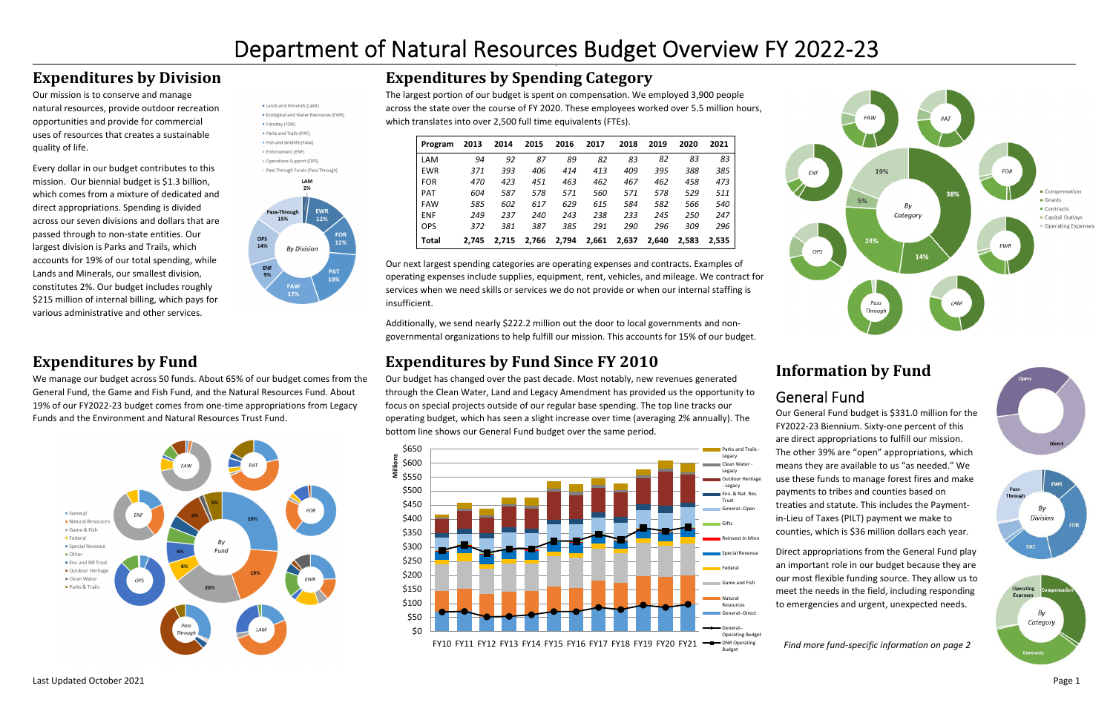## **Expenditures by Division**

Our mission is to conserve and manage natural resources, provide outdoor recreation opportunities and provide for commercial uses of resources that creates <sup>a</sup> sustainablequality of life.

Every dollar in our budget contributes to this mission. Our biennial budget is \$1.3 billion, which comes from <sup>a</sup> mixture of dedicated and direct appropriations. Spending is divided across our seven divisions and dollars that are passed through to non‐state entities. Our largest division is Parks and Trails, which accounts for 19% of our total spending, while Lands and Minerals, our smallest division, constitutes 2%. Our budget includes roughly \$215 million of internal billing, which pays for various administrative and other services.



Operations Support (OPS)



## **Expenditures by Fund**

We manage our budget across 50 funds. About 65% of our budget comes from the General Fund, the Game and Fish Fund, and the Natural Resources Fund. About 19% of our FY2022‐23 budget comes from one‐time appropriations from Legacy Funds and the Environment and Natural Resources Trust Fund.



## **Expenditures by Spending Category**

The largest portion of our budget is spent on compensation. We employed 3,900 people across the state over the course of FY 2020. These employees worked over 5.5 million hours, which translates into over 2,500 full time equivalents (FTEs).

| Program      | 2013  | 2014  | 2015  | 2016  | 2017  | 2018  | 2019  | 2020  | 2021  |
|--------------|-------|-------|-------|-------|-------|-------|-------|-------|-------|
| LAM          | 94    | 92    | 87    | 89    | 82    | 83    | 82    | 83    | 83    |
| <b>EWR</b>   | 371   | 393   | 406   | 414   | 413   | 409   | 395   | 388   | 385   |
| <b>FOR</b>   | 470   | 423   | 451   | 463   | 462   | 467   | 462   | 458   | 473   |
| <b>PAT</b>   | 604   | 587   | 578   | 571   | 560   | 571   | 578   | 529   | 511   |
| <b>FAW</b>   | 585   | 602   | 617   | 629   | 615   | 584   | 582   | 566   | 540   |
| <b>ENF</b>   | 249   | 237   | 240   | 243   | 238   | 233   | 245   | 250   | 247   |
| <b>OPS</b>   | 372   | 381   | 387   | 385   | 291   | 290   | 296   | 309   | 296   |
| <b>Total</b> | 2.745 | 2.715 | 2.766 | 2.794 | 2,661 | 2,637 | 2.640 | 2,583 | 2,535 |





Our next largest spending categories are operating expenses and contracts. Examples of operating expenses include supplies, equipment, rent, vehicles, and mileage. We contract for services when we need skills or services we do not provide or when our internal staffing is insufficient.

Additionally, we send nearly \$222.2 million out the door to local governments and non‐ governmental organizations to help fulfill our mission. This accounts for 15% of our budget.

## **Expenditures by Fund Since FY 2010**

Our budget has changed over the past decade. Most notably, new revenues generated through the Clean Water, Land and Legacy Amendment has provided us the opportunity to focus on special projects outside of our regular base spending. The top line tracks our operating budget, which has seen <sup>a</sup> slight increase over time (averaging 2% annually). The bottom line shows our General Fund budget over the same period.



## **Information by Fund**

## General Fund

Our General Fund budget is \$331.0 million for the FY2022‐23 Biennium. Sixty‐one percent of this are direct appropriations to fulfill our mission. The other 39% are "open" appropriations, which means they are available to us "as needed." We use these funds to manage forest fires and make payments to tribes and counties based on treaties and statute. This includes the Payment‐ in‐Lieu of Taxes (PILT) payment we make to counties, which is \$36 million dollars each year.



Direct appropriations from the General Fund play an important role in our budget because they are our most flexible funding source. They allow us to meet the needs in the field, including responding to emergencies and urgent, unexpected needs.

*Find more fund‐specific information on page 2*